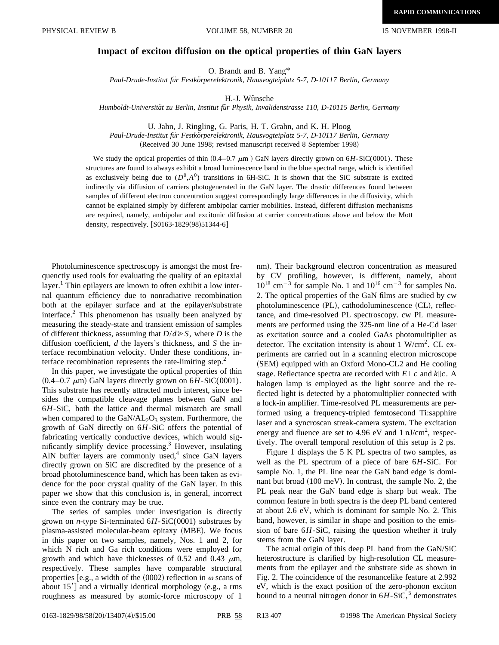## **Impact of exciton diffusion on the optical properties of thin GaN layers**

O. Brandt and B. Yang\*

*Paul-Drude-Institut fu¨r Festko¨rperelektronik, Hausvogteiplatz 5-7, D-10117 Berlin, Germany*

H.-J. Wünsche

*Humboldt-Universita¨t zu Berlin, Institut fu¨r Physik, Invalidenstrasse 110, D-10115 Berlin, Germany*

U. Jahn, J. Ringling, G. Paris, H. T. Grahn, and K. H. Ploog

*Paul-Drude-Institut fu¨r Festko¨rperelektronik, Hausvogteiplatz 5-7, D-10117 Berlin, Germany*

(Received 30 June 1998; revised manuscript received 8 September 1998)

We study the optical properties of thin  $(0.4-0.7 \mu m)$  GaN layers directly grown on  $6H$ -SiC(0001). These structures are found to always exhibit a broad luminescence band in the blue spectral range, which is identified as exclusively being due to  $(D^0, A^0)$  transitions in 6H-SiC. It is shown that the SiC substrate is excited indirectly via diffusion of carriers photogenerated in the GaN layer. The drastic differences found between samples of different electron concentration suggest correspondingly large differences in the diffusivity, which cannot be explained simply by different ambipolar carrier mobilities. Instead, different diffusion mechanisms are required, namely, ambipolar and excitonic diffusion at carrier concentrations above and below the Mott density, respectively. [S0163-1829(98)51344-6]

Photoluminescence spectroscopy is amongst the most frequenctly used tools for evaluating the quality of an epitaxial layer.<sup>1</sup> Thin epilayers are known to often exhibit a low internal quantum efficiency due to nonradiative recombination both at the epilayer surface and at the epilayer/substrate interface.<sup>2</sup> This phenomenon has usually been analyzed by measuring the steady-state and transient emission of samples of different thickness, assuming that  $D/d \ge S$ , where *D* is the diffusion coefficient, *d* the layers's thickness, and *S* the interface recombination velocity. Under these conditions, interface recombination represents the rate-limiting step.<sup>2</sup>

In this paper, we investigate the optical properties of thin  $(0.4-0.7 \mu m)$  GaN layers directly grown on  $6H-SiC(0001)$ . This substrate has recently attracted much interest, since besides the compatible cleavage planes between GaN and 6*H*-SiC, both the lattice and thermal mismatch are small when compared to the  $GaN/AL_2O_3$  system. Furthermore, the growth of GaN directly on 6*H*-SiC offers the potential of fabricating vertically conductive devices, which would significantly simplify device processing. $3$  However, insulating AlN buffer layers are commonly used, $4$  since GaN layers directly grown on SiC are discredited by the presence of a broad photoluminescence band, which has been taken as evidence for the poor crystal quality of the GaN layer. In this paper we show that this conclusion is, in general, incorrect since even the contrary may be true.

The series of samples under investigation is directly grown on *n*-type Si-terminated 6*H*-SiC(0001) substrates by plasma-assisted molecular-beam epitaxy (MBE). We focus in this paper on two samples, namely, Nos. 1 and 2, for which N rich and Ga rich conditions were employed for growth and which have thicknesses of 0.52 and 0.43  $\mu$ m, respectively. These samples have comparable structural properties [e.g., a width of the  $(0002)$  reflection in  $\omega$  scans of about  $15'$ ] and a virtually identical morphology (e.g., a rms roughness as measured by atomic-force microscopy of 1 nm). Their background electron concentration as measured by CV profiling, however, is different, namely, about  $10^{18}$  cm<sup>-3</sup> for sample No. 1 and  $10^{16}$  cm<sup>-3</sup> for samples No. 2. The optical properties of the GaN films are studied by cw photoluminescence (PL), cathodoluminescence (CL), reflectance, and time-resolved PL spectroscopy. cw PL measurements are performed using the 325-nm line of a He-Cd laser as excitation source and a cooled GaAs photomultiplier as detector. The excitation intensity is about 1 W/cm<sup>2</sup>. CL experiments are carried out in a scanning electron microscope  $(SEM)$  equipped with an Oxford Mono-CL2 and He cooling stage. Reflectance spectra are recorded with  $E \perp c$  and  $k \| c$ . A halogen lamp is employed as the light source and the reflected light is detected by a photomultiplier connected with a lock-in amplifier. Time-resolved PL measurements are performed using a frequency-tripled femtosecond Ti:sapphire laser and a syncroscan streak-camera system. The excitation energy and fluence are set to 4.96 eV and 1  $nJ/cm<sup>2</sup>$ , respectively. The overall temporal resolution of this setup is 2 ps.

Figure 1 displays the 5 K PL spectra of two samples, as well as the PL spectrum of a piece of bare 6*H*-SiC. For sample No. 1, the PL line near the GaN band edge is dominant but broad  $(100 \text{ meV})$ . In contrast, the sample No. 2, the PL peak near the GaN band edge is sharp but weak. The common feature in both spectra is the deep PL band centered at about 2.6 eV, which is dominant for sample No. 2. This band, however, is similar in shape and position to the emission of bare 6*H*-SiC, raising the question whether it truly stems from the GaN layer.

The actual origin of this deep PL band from the GaN/SiC heterostructure is clarified by high-resolution CL measurements from the epilayer and the substrate side as shown in Fig. 2. The coincidence of the resonancelike feature at 2.992 eV, which is the exact position of the zero-phonon exciton bound to a neutral nitrogen donor in  $6H-SiC$ ,<sup>5</sup> demonstrates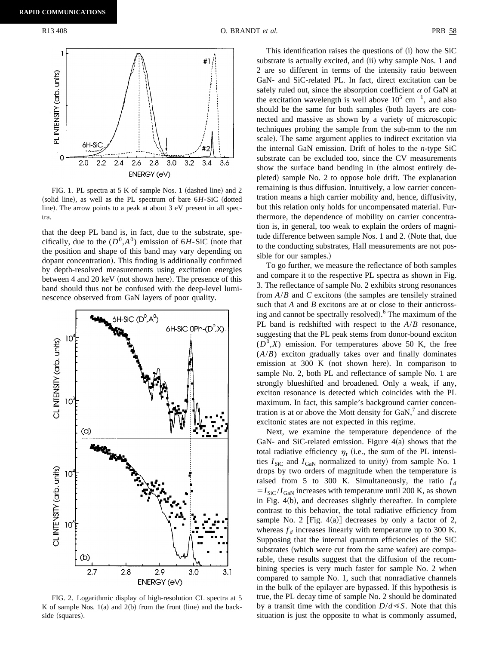

FIG. 1. PL spectra at 5 K of sample Nos. 1 (dashed line) and 2  $\alpha$  (solid line), as well as the PL spectrum of bare  $6H-SiC$  (dotted line). The arrow points to a peak at about  $3 \text{ eV}$  present in all spectra.

that the deep PL band is, in fact, due to the substrate, specifically, due to the  $(D^0, A^0)$  emission of 6*H*-SiC (note that the position and shape of this band may vary depending on dopant concentration). This finding is additionally confirmed by depth-resolved measurements using excitation energies between 4 and 20 keV (not shown here). The presence of this band should thus not be confused with the deep-level luminescence observed from GaN layers of poor quality.



FIG. 2. Logarithmic display of high-resolution CL spectra at 5 K of sample Nos.  $1(a)$  and  $2(b)$  from the front (line) and the backside (squares).

This identification raises the questions of  $(i)$  how the SiC substrate is actually excited, and (ii) why sample Nos. 1 and 2 are so different in terms of the intensity ratio between GaN- and SiC-related PL. In fact, direct excitation can be safely ruled out, since the absorption coefficient  $\alpha$  of GaN at the excitation wavelength is well above  $10^5$  cm<sup>-1</sup>, and also should be the same for both samples (both layers are connected and massive as shown by a variety of microscopic techniques probing the sample from the sub-mm to the nm scale). The same argument applies to indirect excitation via the internal GaN emission. Drift of holes to the *n*-type SiC substrate can be excluded too, since the CV measurements show the surface band bending in (the almost entirely depleted) sample No. 2 to oppose hole drift. The explanation remaining is thus diffusion. Intuitively, a low carrier concentration means a high carrier mobility and, hence, diffusivity, but this relation only holds for uncompensated material. Furthermore, the dependence of mobility on carrier concentration is, in general, too weak to explain the orders of magnitude difference between sample Nos. 1 and 2. (Note that, due to the conducting substrates, Hall measurements are not possible for our samples.)

To go further, we measure the reflectance of both samples and compare it to the respective PL spectra as shown in Fig. 3. The reflectance of sample No. 2 exhibits strong resonances from  $A/B$  and  $C$  excitons (the samples are tensilely strained such that *A* and *B* excitons are at or close to their anticrossing and cannot be spectrally resolved).<sup>6</sup> The maximum of the PL band is redshifted with respect to the *A*/*B* resonance, suggesting that the PL peak stems from donor-bound exciton  $(D^0, X)$  emission. For temperatures above 50 K, the free (*A*/*B*) exciton gradually takes over and finally dominates emission at  $300 \text{ K}$  (not shown here). In comparison to sample No. 2, both PL and reflectance of sample No. 1 are strongly blueshifted and broadened. Only a weak, if any, exciton resonance is detected which coincides with the PL maximum. In fact, this sample's background carrier concentration is at or above the Mott density for  $GaN<sub>1</sub><sup>7</sup>$  and discrete excitonic states are not expected in this regime.

Next, we examine the temperature dependence of the GaN- and SiC-related emission. Figure  $4(a)$  shows that the total radiative efficiency  $\eta_t$  (i.e., the sum of the PL intensities  $I_{\text{SiC}}$  and  $I_{\text{GaN}}$  normalized to unity) from sample No. 1 drops by two orders of magnitude when the temperature is raised from 5 to 300 K. Simultaneously, the ratio  $f_d$  $=I_{SiC}/I_{GaN}$  increases with temperature until 200 K, as shown in Fig.  $4(b)$ , and decreases slightly thereafter. In complete contrast to this behavior, the total radiative efficiency from sample No. 2 [Fig. 4(a)] decreases by only a factor of 2, whereas  $f_d$  increases linearly with temperature up to 300 K. Supposing that the internal quantum efficiencies of the SiC substrates (which were cut from the same wafer) are comparable, these results suggest that the diffusion of the recombining species is very much faster for sample No. 2 when compared to sample No. 1, such that nonradiative channels in the bulk of the epilayer are bypassed. If this hypothesis is true, the PL decay time of sample No. 2 should be dominated by a transit time with the condition  $D/d \ll S$ . Note that this situation is just the opposite to what is commonly assumed,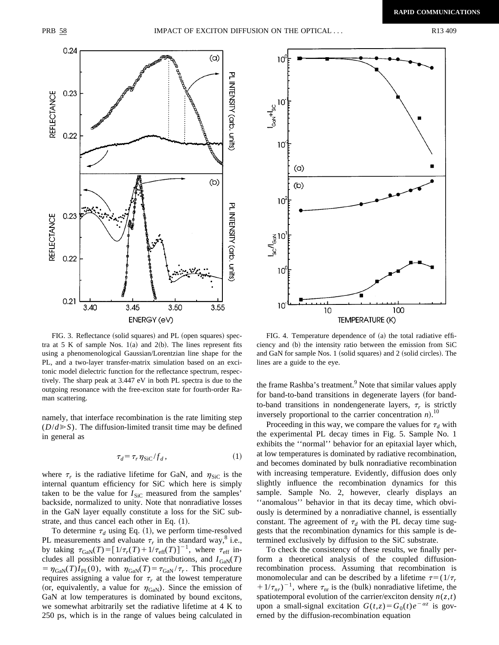

FIG. 3. Reflectance (solid squares) and PL (open squares) spectra at 5 K of sample Nos.  $1(a)$  and  $2(b)$ . The lines represent fits using a phenomenological Gaussian/Lorentzian line shape for the PL, and a two-layer transfer-matrix simulation based on an excitonic model dielectric function for the reflectance spectrum, respectively. The sharp peak at 3.447 eV in both PL spectra is due to the outgoing resonance with the free-exciton state for fourth-order Raman scattering.

namely, that interface recombination is the rate limiting step  $(D/d \ge S)$ . The diffusion-limited transit time may be defined in general as

$$
\tau_d = \tau_r \eta_{\text{SiC}} / f_d, \qquad (1)
$$

where  $\tau_r$  is the radiative lifetime for GaN, and  $\eta_{SiC}$  is the internal quantum efficiency for SiC which here is simply taken to be the value for  $I_{\text{SiC}}$  measured from the samples' backside, normalized to unity. Note that nonradiative losses in the GaN layer equally constitute a loss for the SiC substrate, and thus cancel each other in Eq.  $(1)$ .

To determine  $\tau_d$  using Eq. (1), we perform time-resolved PL measurements and evaluate  $\tau_r$  in the standard way,<sup>8</sup> i.e., by taking  $\tau_{\text{GAN}}(T) = [1/\tau_r(T) + 1/\tau_{\text{eff}}(T)]^{-1}$ , where  $\tau_{\text{eff}}$  includes all possible nonradiative contributions, and  $I_{\text{GaN}}(T)$  $= \eta_{\text{GaN}}(T)I_{\text{PL}}(0)$ , with  $\eta_{\text{GaN}}(T) = \tau_{\text{GaN}} / \tau_r$ . This procedure requires assigning a value for  $\tau_r$  at the lowest temperature (or, equivalently, a value for  $\eta_{\rm GaN}$ ). Since the emission of GaN at low temperatures is dominated by bound excitons, we somewhat arbitrarily set the radiative lifetime at 4 K to 250 ps, which is in the range of values being calculated in



FIG. 4. Temperature dependence of (a) the total radiative efficiency and (b) the intensity ratio between the emission from SiC and GaN for sample Nos. 1 (solid squares) and 2 (solid circles). The lines are a guide to the eye.

the frame Rashba's treatment.<sup>9</sup> Note that similar values apply for band-to-band transitions in degenerate layers (for bandto-band transitions in nondengenerate layers,  $\tau_r$  is strictly inversely proportional to the carrier concentration  $n$ .<sup>10</sup>

Proceeding in this way, we compare the values for  $\tau_d$  with the experimental PL decay times in Fig. 5. Sample No. 1 exhibits the ''normal'' behavior for an epitaxial layer which, at low temperatures is dominated by radiative recombination, and becomes dominated by bulk nonradiative recombination with increasing temperature. Evidently, diffusion does only slightly influence the recombination dynamics for this sample. Sample No. 2, however, clearly displays an ''anomalous'' behavior in that its decay time, which obviously is determined by a nonradiative channel, is essentially constant. The agreement of  $\tau_d$  with the PL decay time suggests that the recombination dynamics for this sample is determined exclusively by diffusion to the SiC substrate.

To check the consistency of these results, we finally perform a theoretical analysis of the coupled diffusionrecombination process. Assuming that recombination is monomolecular and can be described by a lifetime  $\tau = (1/\tau_r)$  $1/\tau_{nr}$ <sup>-1</sup>, where  $\tau_{nr}$  is the (bulk) nonradiative lifetime, the spatiotemporal evolution of the carrier/exciton density  $n(z,t)$ upon a small-signal excitation  $G(t, z) = G_0(t)e^{-\alpha z}$  is governed by the diffusion-recombination equation